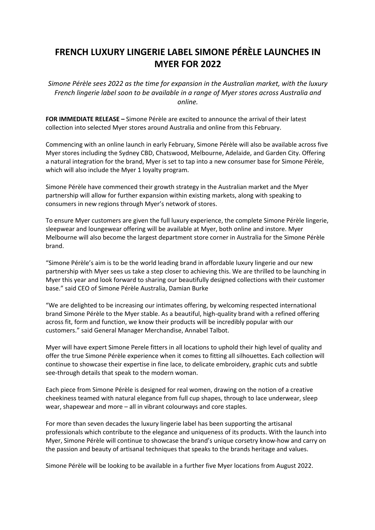## **FRENCH LUXURY LINGERIE LABEL SIMONE PÉRÈLE LAUNCHES IN MYER FOR 2022**

*Simone Pérèle sees 2022 as the time for expansion in the Australian market, with the luxury French lingerie label soon to be available in a range of Myer stores across Australia and online.*

**FOR IMMEDIATE RELEASE –** Simone Pérèle are excited to announce the arrival of their latest collection into selected Myer stores around Australia and online from this February.

Commencing with an online launch in early February, Simone Pérèle will also be available across five Myer stores including the Sydney CBD, Chatswood, Melbourne, Adelaide, and Garden City. Offering a natural integration for the brand, Myer is set to tap into a new consumer base for Simone Pérèle, which will also include the Myer 1 loyalty program.

Simone Pérèle have commenced their growth strategy in the Australian market and the Myer partnership will allow for further expansion within existing markets, along with speaking to consumers in new regions through Myer's network of stores.

To ensure Myer customers are given the full luxury experience, the complete Simone Pérèle lingerie, sleepwear and loungewear offering will be available at Myer, both online and instore. Myer Melbourne will also become the largest department store corner in Australia for the Simone Pérèle brand.

"Simone Pérèle's aim is to be the world leading brand in affordable luxury lingerie and our new partnership with Myer sees us take a step closer to achieving this. We are thrilled to be launching in Myer this year and look forward to sharing our beautifully designed collections with their customer base." said CEO of Simone Pérèle Australia, Damian Burke

"We are delighted to be increasing our intimates offering, by welcoming respected international brand Simone Pérèle to the Myer stable. As a beautiful, high-quality brand with a refined offering across fit, form and function, we know their products will be incredibly popular with our customers." said General Manager Merchandise, Annabel Talbot.

Myer will have expert Simone Perele fitters in all locations to uphold their high level of quality and offer the true Simone Pérèle experience when it comes to fitting all silhouettes. Each collection will continue to showcase their expertise in fine lace, to delicate embroidery, graphic cuts and subtle see-through details that speak to the modern woman.

Each piece from Simone Pérèle is designed for real women, drawing on the notion of a creative cheekiness teamed with natural elegance from full cup shapes, through to lace underwear, sleep wear, shapewear and more – all in vibrant colourways and core staples.

For more than seven decades the luxury lingerie label has been supporting the artisanal professionals which contribute to the elegance and uniqueness of its products. With the launch into Myer, Simone Pérèle will continue to showcase the brand's unique corsetry know-how and carry on the passion and beauty of artisanal techniques that speaks to the brands heritage and values.

Simone Pérèle will be looking to be available in a further five Myer locations from August 2022.